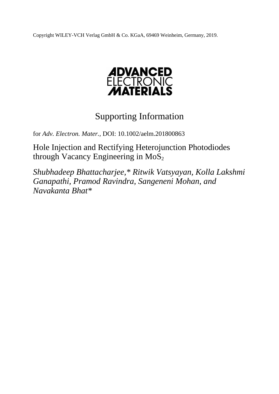Copyright WILEY-VCH Verlag GmbH & Co. KGaA, 69469 Weinheim, Germany, 2019.



# Supporting Information

for *Adv. Electron. Mater.,* DOI: 10.1002/aelm.201800863

Hole Injection and Rectifying Heterojunction Photodiodes through Vacancy Engineering in  $MoS<sub>2</sub>$ 

*Shubhadeep Bhattacharjee,\* Ritwik Vatsyayan, Kolla Lakshmi Ganapathi, Pramod Ravindra, Sangeneni Mohan, and Navakanta Bhat\**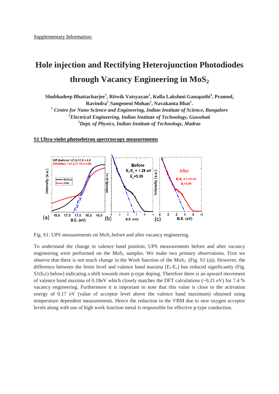# **Hole injection and Rectifying Heterojunction Photodiodes through Vacancy Engineering in MoS<sup>2</sup>**

**Shubhadeep Bhattacharjee<sup>1</sup> , Ritwik Vatsyayan<sup>2</sup> , Kolla Lakshmi Ganapathi<sup>3</sup> , Pramod, Ravindra<sup>1</sup> , Sangeneni Mohan<sup>1</sup> , Navakanta Bhat<sup>1</sup> .**

*<sup>1</sup> Centre for Nano Science and Engineering, Indian Institute of Science, Bangalore <sup>2</sup>Electrical Engineering, Indian Institute of Technology, Guwahati <sup>3</sup>Dept. of Physics, Indian Institute of Technology, Madras*

#### **S1 Ultra-violet photoeletron spectroscopy measurements**



Fig. S1: UPS measurements on  $MoS<sub>2</sub>$  before and after vacancy engineering.

To understand the change in valence band position, UPS measurements before and after vacancy engineering were performed on the  $MoS<sub>2</sub>$  samples. We make two primary observations. First we observe that there is not much change in the Work function of the  $MoS<sub>2</sub>$  (Fig. S1 (a)). However, the difference between the fermi level and valence band maxima  $[E_f-E_v]$  has reduced significantly (Fig. S1(b,c) below) indicating a shift towards more p-type doping. Therefore there is an upward movement of valence band maxima of  $0.18$ eV which closely matches the DFT calculations (~0.21 eV) for 7.4 % vacancy engineering. Furthermore it is important to note that this value is close to the activation energy of 0.17 eV (value of acceptor level above the valence band maximum) obtained using temperature dependent measurements. Hence the reduction in the VBM due to new oxygen acceptor levels along with use of high work function metal is responsible for effective p-type conduction.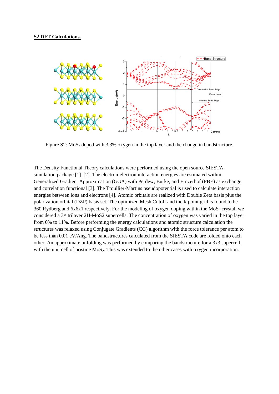

Figure S2:  $MoS<sub>2</sub>$  doped with 3.3% oxygen in the top layer and the change in bandstructure.

The Density Functional Theory calculations were performed using the open source SIESTA simulation package  $[1]-[2]$ . The electron-electron interaction energies are estimated within Generalized Gradient Approximation (GGA) with Perdew, Burke, and Ernzerhof (PBE) as exchange and correlation functional [3]. The Troullier-Martins pseudopotential is used to calculate interaction energies between ions and electrons [4]. Atomic orbitals are realized with Double Zeta basis plus the polarization orbital (DZP) basis set. The optimized Mesh Cutoff and the k-point grid is found to be 360 Rydberg and 6x6x1 respectively. For the modeling of oxygen doping within the  $MoS<sub>2</sub>$  crystal, we considered a 3× trilayer 2H-MoS2 supercells. The concentration of oxygen was varied in the top layer from 0% to 11%. Before performing the energy calculations and atomic structure calculation the structures was relaxed using Conjugate Gradients (CG) algorithm with the force tolerance per atom to be less than 0.01 eV/Ang. The bandstructures calculated from the SIESTA code are folded onto each other. An approximate unfolding was performed by comparing the bandstructure for a 3x3 supercell with the unit cell of pristine MoS<sub>2</sub>. This was extended to the other cases with oxygen incorporation.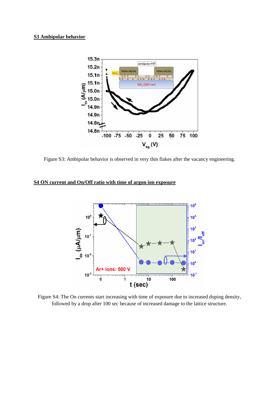#### **S3 Ambipolar behavior**



Figure S3: Ambipolar behavior is observed in very thin flakes after the vacancy engineering.

# **S4 ON current and On/Off ratio with time of argon ion exposure**



Figure S4: The On currents start increasing with time of exposure due to increased doping density, followed by a drop after 100 sec because of increased damage to the lattice structure.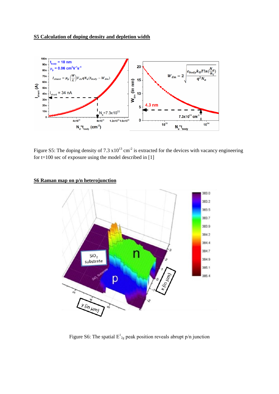## **S5 Calculation of doping density and depletion width**



Figure S5: The doping density of 7.3  $x10^{13}$  cm<sup>-2</sup> is extracted for the devices with vacancy engineering for  $t=100$  sec of exposure using the model described in [1]

### **S6 Raman map on p/n heterojunction**



Figure S6: The spatial  $E_{2g}^1$  peak position reveals abrupt p/n junction